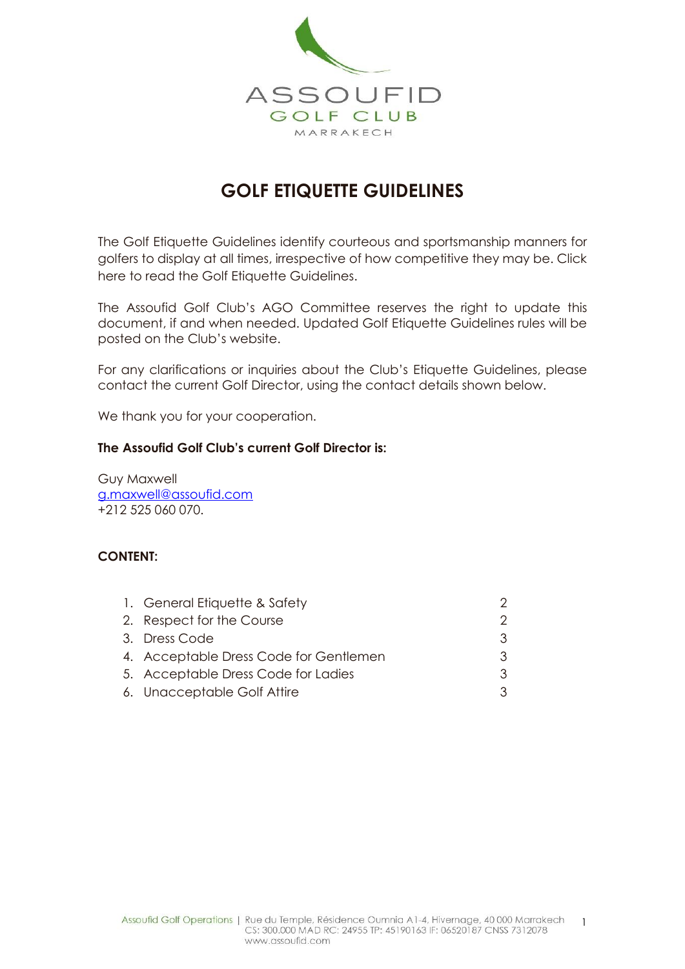

# **GOLF ETIQUETTE GUIDELINES**

The Golf Etiquette Guidelines identify courteous and sportsmanship manners for golfers to display at all times, irrespective of how competitive they may be. Click here to read the Golf Etiquette Guidelines.

The Assoufid Golf Club's AGO Committee reserves the right to update this document, if and when needed. Updated Golf Etiquette Guidelines rules will be posted on the Club's website.

For any clarifications or inquiries about the Club's Etiquette Guidelines, please contact the current Golf Director, using the contact details shown below.

We thank you for your cooperation.

#### **The Assoufid Golf Club's current Golf Director is:**

Guy Maxwell [g.maxwell@assoufid.com](mailto:g.maxwell@assoufid.com) +212 525 060 070.

### **CONTENT:**

| 1. General Etiquette & Safety          |  |
|----------------------------------------|--|
| 2. Respect for the Course              |  |
| 3. Dress Code                          |  |
| 4. Acceptable Dress Code for Gentlemen |  |
| 5. Acceptable Dress Code for Ladies    |  |
| 6. Unacceptable Golf Attire            |  |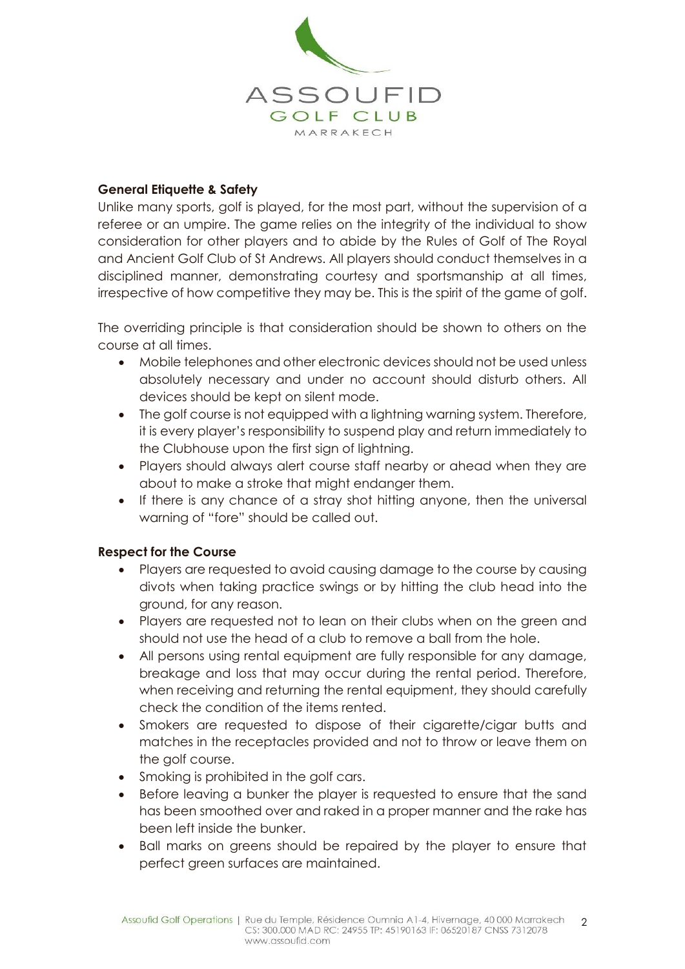

### **General Etiquette & Safety**

Unlike many sports, golf is played, for the most part, without the supervision of a referee or an umpire. The game relies on the integrity of the individual to show consideration for other players and to abide by the Rules of Golf of The Royal and Ancient Golf Club of St Andrews. All players should conduct themselves in a disciplined manner, demonstrating courtesy and sportsmanship at all times, irrespective of how competitive they may be. This is the spirit of the game of golf.

The overriding principle is that consideration should be shown to others on the course at all times.

- Mobile telephones and other electronic devices should not be used unless absolutely necessary and under no account should disturb others. All devices should be kept on silent mode.
- The golf course is not equipped with a lightning warning system. Therefore, it is every player's responsibility to suspend play and return immediately to the Clubhouse upon the first sign of lightning.
- Players should always alert course staff nearby or ahead when they are about to make a stroke that might endanger them.
- If there is any chance of a stray shot hitting anyone, then the universal warning of "fore" should be called out.

### **Respect for the Course**

- Players are requested to avoid causing damage to the course by causing divots when taking practice swings or by hitting the club head into the ground, for any reason.
- Players are requested not to lean on their clubs when on the green and should not use the head of a club to remove a ball from the hole.
- All persons using rental equipment are fully responsible for any damage, breakage and loss that may occur during the rental period. Therefore, when receiving and returning the rental equipment, they should carefully check the condition of the items rented.
- Smokers are requested to dispose of their cigarette/cigar butts and matches in the receptacles provided and not to throw or leave them on the golf course.
- Smoking is prohibited in the golf cars.
- Before leaving a bunker the player is requested to ensure that the sand has been smoothed over and raked in a proper manner and the rake has been left inside the bunker.
- Ball marks on greens should be repaired by the player to ensure that perfect green surfaces are maintained.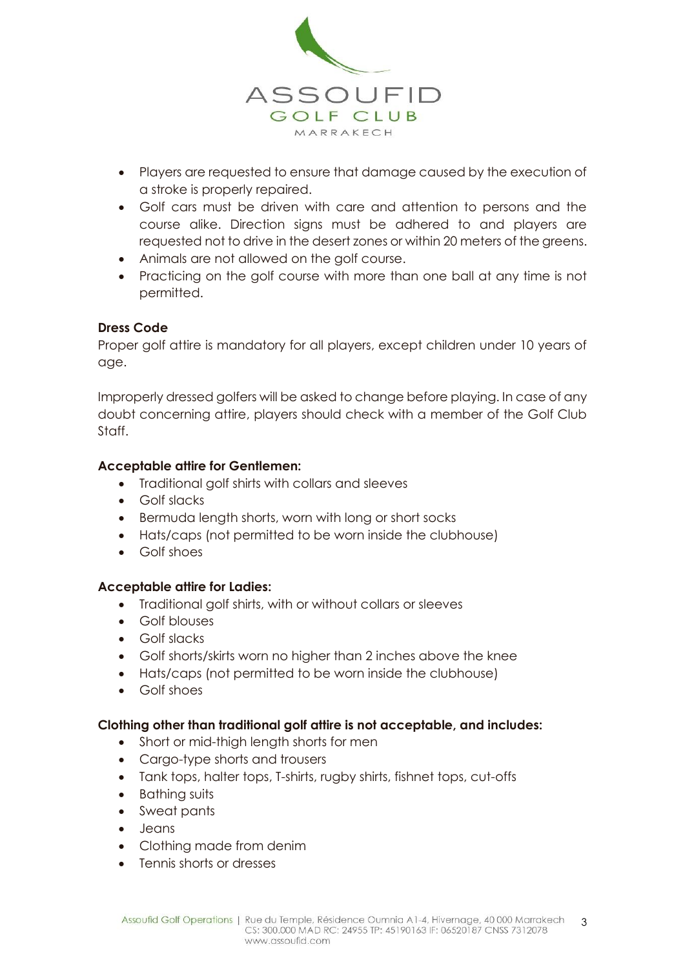

- Players are requested to ensure that damage caused by the execution of a stroke is properly repaired.
- Golf cars must be driven with care and attention to persons and the course alike. Direction signs must be adhered to and players are requested not to drive in the desert zones or within 20 meters of the greens.
- Animals are not allowed on the golf course.
- Practicing on the golf course with more than one ball at any time is not permitted.

## **Dress Code**

Proper golf attire is mandatory for all players, except children under 10 years of age.

Improperly dressed golfers will be asked to change before playing. In case of any doubt concerning attire, players should check with a member of the Golf Club Staff.

### **Acceptable attire for Gentlemen:**

- Traditional golf shirts with collars and sleeves
- **•** Golf slacks
- Bermuda length shorts, worn with long or short socks
- Hats/caps (not permitted to be worn inside the clubhouse)
- Golf shoes

### **Acceptable attire for Ladies:**

- Traditional golf shirts, with or without collars or sleeves
- Golf blouses
- Golf slacks
- Golf shorts/skirts worn no higher than 2 inches above the knee
- Hats/caps (not permitted to be worn inside the clubhouse)
- Golf shoes

### **Clothing other than traditional golf attire is not acceptable, and includes:**

- Short or mid-thigh length shorts for men
- Cargo-type shorts and trousers
- Tank tops, halter tops, T-shirts, rugby shirts, fishnet tops, cut-offs
- Bathing suits
- Sweat pants
- Jeans
- Clothing made from denim
- Tennis shorts or dresses